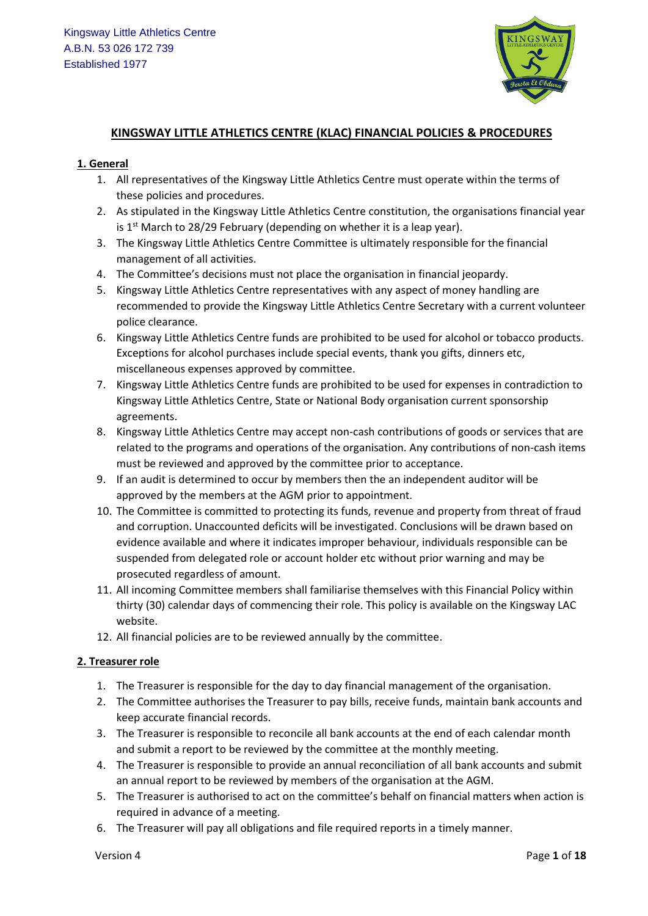

## **KINGSWAY LITTLE ATHLETICS CENTRE (KLAC) FINANCIAL POLICIES & PROCEDURES**

#### **1. General**

- 1. All representatives of the Kingsway Little Athletics Centre must operate within the terms of these policies and procedures.
- 2. As stipulated in the Kingsway Little Athletics Centre constitution, the organisations financial year is 1<sup>st</sup> March to 28/29 February (depending on whether it is a leap year).
- 3. The Kingsway Little Athletics Centre Committee is ultimately responsible for the financial management of all activities.
- 4. The Committee's decisions must not place the organisation in financial jeopardy.
- 5. Kingsway Little Athletics Centre representatives with any aspect of money handling are recommended to provide the Kingsway Little Athletics Centre Secretary with a current volunteer police clearance.
- 6. Kingsway Little Athletics Centre funds are prohibited to be used for alcohol or tobacco products. Exceptions for alcohol purchases include special events, thank you gifts, dinners etc, miscellaneous expenses approved by committee.
- 7. Kingsway Little Athletics Centre funds are prohibited to be used for expenses in contradiction to Kingsway Little Athletics Centre, State or National Body organisation current sponsorship agreements.
- 8. Kingsway Little Athletics Centre may accept non-cash contributions of goods or services that are related to the programs and operations of the organisation. Any contributions of non-cash items must be reviewed and approved by the committee prior to acceptance.
- 9. If an audit is determined to occur by members then the an independent auditor will be approved by the members at the AGM prior to appointment.
- 10. The Committee is committed to protecting its funds, revenue and property from threat of fraud and corruption. Unaccounted deficits will be investigated. Conclusions will be drawn based on evidence available and where it indicates improper behaviour, individuals responsible can be suspended from delegated role or account holder etc without prior warning and may be prosecuted regardless of amount.
- 11. All incoming Committee members shall familiarise themselves with this Financial Policy within thirty (30) calendar days of commencing their role. This policy is available on the Kingsway LAC website.
- 12. All financial policies are to be reviewed annually by the committee.

## **2. Treasurer role**

- 1. The Treasurer is responsible for the day to day financial management of the organisation.
- 2. The Committee authorises the Treasurer to pay bills, receive funds, maintain bank accounts and keep accurate financial records.
- 3. The Treasurer is responsible to reconcile all bank accounts at the end of each calendar month and submit a report to be reviewed by the committee at the monthly meeting.
- 4. The Treasurer is responsible to provide an annual reconciliation of all bank accounts and submit an annual report to be reviewed by members of the organisation at the AGM.
- 5. The Treasurer is authorised to act on the committee's behalf on financial matters when action is required in advance of a meeting.
- 6. The Treasurer will pay all obligations and file required reports in a timely manner.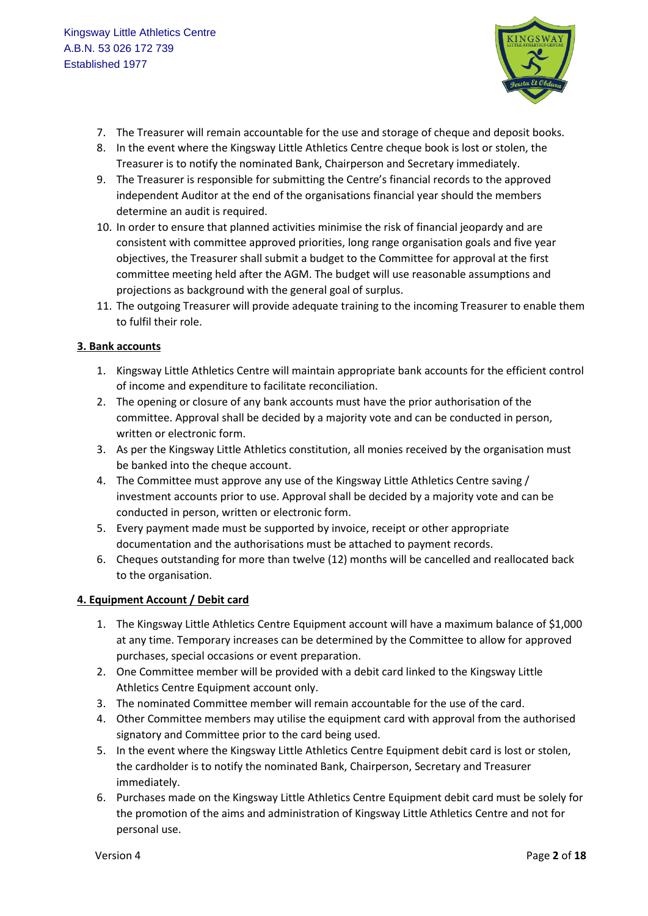

- 7. The Treasurer will remain accountable for the use and storage of cheque and deposit books.
- 8. In the event where the Kingsway Little Athletics Centre cheque book is lost or stolen, the Treasurer is to notify the nominated Bank, Chairperson and Secretary immediately.
- 9. The Treasurer is responsible for submitting the Centre's financial records to the approved independent Auditor at the end of the organisations financial year should the members determine an audit is required.
- 10. In order to ensure that planned activities minimise the risk of financial jeopardy and are consistent with committee approved priorities, long range organisation goals and five year objectives, the Treasurer shall submit a budget to the Committee for approval at the first committee meeting held after the AGM. The budget will use reasonable assumptions and projections as background with the general goal of surplus.
- 11. The outgoing Treasurer will provide adequate training to the incoming Treasurer to enable them to fulfil their role.

## **3. Bank accounts**

- 1. Kingsway Little Athletics Centre will maintain appropriate bank accounts for the efficient control of income and expenditure to facilitate reconciliation.
- 2. The opening or closure of any bank accounts must have the prior authorisation of the committee. Approval shall be decided by a majority vote and can be conducted in person, written or electronic form.
- 3. As per the Kingsway Little Athletics constitution, all monies received by the organisation must be banked into the cheque account.
- 4. The Committee must approve any use of the Kingsway Little Athletics Centre saving / investment accounts prior to use. Approval shall be decided by a majority vote and can be conducted in person, written or electronic form.
- 5. Every payment made must be supported by invoice, receipt or other appropriate documentation and the authorisations must be attached to payment records.
- 6. Cheques outstanding for more than twelve (12) months will be cancelled and reallocated back to the organisation.

## **4. Equipment Account / Debit card**

- 1. The Kingsway Little Athletics Centre Equipment account will have a maximum balance of \$1,000 at any time. Temporary increases can be determined by the Committee to allow for approved purchases, special occasions or event preparation.
- 2. One Committee member will be provided with a debit card linked to the Kingsway Little Athletics Centre Equipment account only.
- 3. The nominated Committee member will remain accountable for the use of the card.
- 4. Other Committee members may utilise the equipment card with approval from the authorised signatory and Committee prior to the card being used.
- 5. In the event where the Kingsway Little Athletics Centre Equipment debit card is lost or stolen, the cardholder is to notify the nominated Bank, Chairperson, Secretary and Treasurer immediately.
- 6. Purchases made on the Kingsway Little Athletics Centre Equipment debit card must be solely for the promotion of the aims and administration of Kingsway Little Athletics Centre and not for personal use.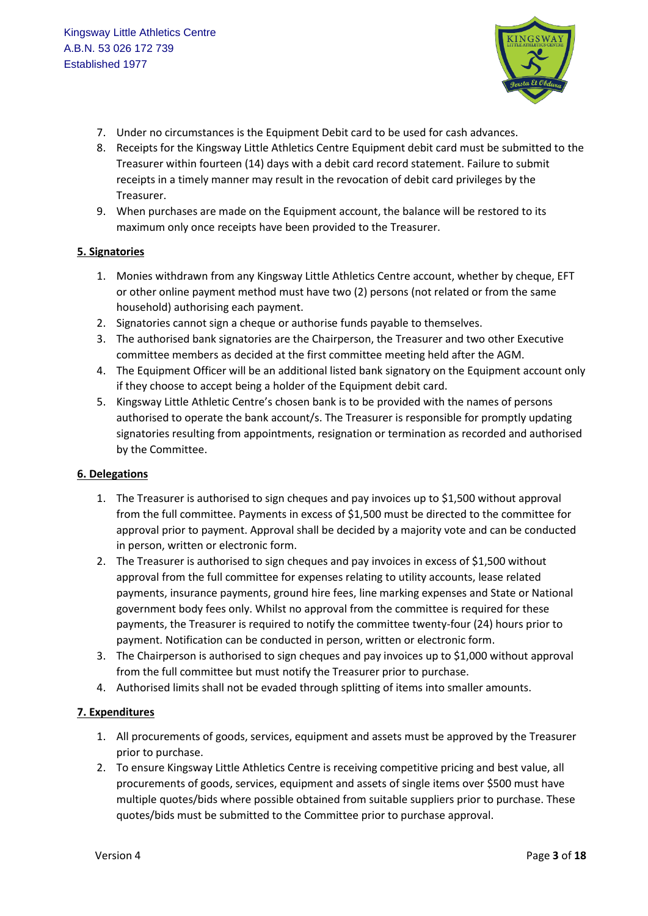

- 7. Under no circumstances is the Equipment Debit card to be used for cash advances.
- 8. Receipts for the Kingsway Little Athletics Centre Equipment debit card must be submitted to the Treasurer within fourteen (14) days with a debit card record statement. Failure to submit receipts in a timely manner may result in the revocation of debit card privileges by the Treasurer.
- 9. When purchases are made on the Equipment account, the balance will be restored to its maximum only once receipts have been provided to the Treasurer.

#### **5. Signatories**

- 1. Monies withdrawn from any Kingsway Little Athletics Centre account, whether by cheque, EFT or other online payment method must have two (2) persons (not related or from the same household) authorising each payment.
- 2. Signatories cannot sign a cheque or authorise funds payable to themselves.
- 3. The authorised bank signatories are the Chairperson, the Treasurer and two other Executive committee members as decided at the first committee meeting held after the AGM.
- 4. The Equipment Officer will be an additional listed bank signatory on the Equipment account only if they choose to accept being a holder of the Equipment debit card.
- 5. Kingsway Little Athletic Centre's chosen bank is to be provided with the names of persons authorised to operate the bank account/s. The Treasurer is responsible for promptly updating signatories resulting from appointments, resignation or termination as recorded and authorised by the Committee.

## **6. Delegations**

- 1. The Treasurer is authorised to sign cheques and pay invoices up to \$1,500 without approval from the full committee. Payments in excess of \$1,500 must be directed to the committee for approval prior to payment. Approval shall be decided by a majority vote and can be conducted in person, written or electronic form.
- 2. The Treasurer is authorised to sign cheques and pay invoices in excess of \$1,500 without approval from the full committee for expenses relating to utility accounts, lease related payments, insurance payments, ground hire fees, line marking expenses and State or National government body fees only. Whilst no approval from the committee is required for these payments, the Treasurer is required to notify the committee twenty-four (24) hours prior to payment. Notification can be conducted in person, written or electronic form.
- 3. The Chairperson is authorised to sign cheques and pay invoices up to \$1,000 without approval from the full committee but must notify the Treasurer prior to purchase.
- 4. Authorised limits shall not be evaded through splitting of items into smaller amounts.

#### **7. Expenditures**

- 1. All procurements of goods, services, equipment and assets must be approved by the Treasurer prior to purchase.
- 2. To ensure Kingsway Little Athletics Centre is receiving competitive pricing and best value, all procurements of goods, services, equipment and assets of single items over \$500 must have multiple quotes/bids where possible obtained from suitable suppliers prior to purchase. These quotes/bids must be submitted to the Committee prior to purchase approval.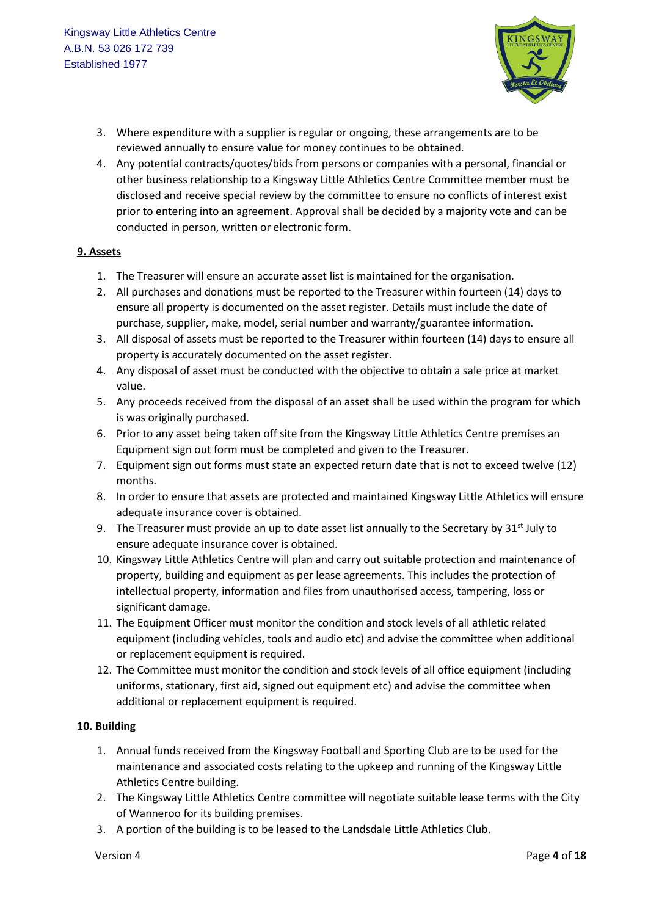

- 3. Where expenditure with a supplier is regular or ongoing, these arrangements are to be reviewed annually to ensure value for money continues to be obtained.
- 4. Any potential contracts/quotes/bids from persons or companies with a personal, financial or other business relationship to a Kingsway Little Athletics Centre Committee member must be disclosed and receive special review by the committee to ensure no conflicts of interest exist prior to entering into an agreement. Approval shall be decided by a majority vote and can be conducted in person, written or electronic form.

#### **9. Assets**

- 1. The Treasurer will ensure an accurate asset list is maintained for the organisation.
- 2. All purchases and donations must be reported to the Treasurer within fourteen (14) days to ensure all property is documented on the asset register. Details must include the date of purchase, supplier, make, model, serial number and warranty/guarantee information.
- 3. All disposal of assets must be reported to the Treasurer within fourteen (14) days to ensure all property is accurately documented on the asset register.
- 4. Any disposal of asset must be conducted with the objective to obtain a sale price at market value.
- 5. Any proceeds received from the disposal of an asset shall be used within the program for which is was originally purchased.
- 6. Prior to any asset being taken off site from the Kingsway Little Athletics Centre premises an Equipment sign out form must be completed and given to the Treasurer.
- 7. Equipment sign out forms must state an expected return date that is not to exceed twelve (12) months.
- 8. In order to ensure that assets are protected and maintained Kingsway Little Athletics will ensure adequate insurance cover is obtained.
- 9. The Treasurer must provide an up to date asset list annually to the Secretary by  $31<sup>st</sup>$  July to ensure adequate insurance cover is obtained.
- 10. Kingsway Little Athletics Centre will plan and carry out suitable protection and maintenance of property, building and equipment as per lease agreements. This includes the protection of intellectual property, information and files from unauthorised access, tampering, loss or significant damage.
- 11. The Equipment Officer must monitor the condition and stock levels of all athletic related equipment (including vehicles, tools and audio etc) and advise the committee when additional or replacement equipment is required.
- 12. The Committee must monitor the condition and stock levels of all office equipment (including uniforms, stationary, first aid, signed out equipment etc) and advise the committee when additional or replacement equipment is required.

#### **10. Building**

- 1. Annual funds received from the Kingsway Football and Sporting Club are to be used for the maintenance and associated costs relating to the upkeep and running of the Kingsway Little Athletics Centre building.
- 2. The Kingsway Little Athletics Centre committee will negotiate suitable lease terms with the City of Wanneroo for its building premises.
- 3. A portion of the building is to be leased to the Landsdale Little Athletics Club.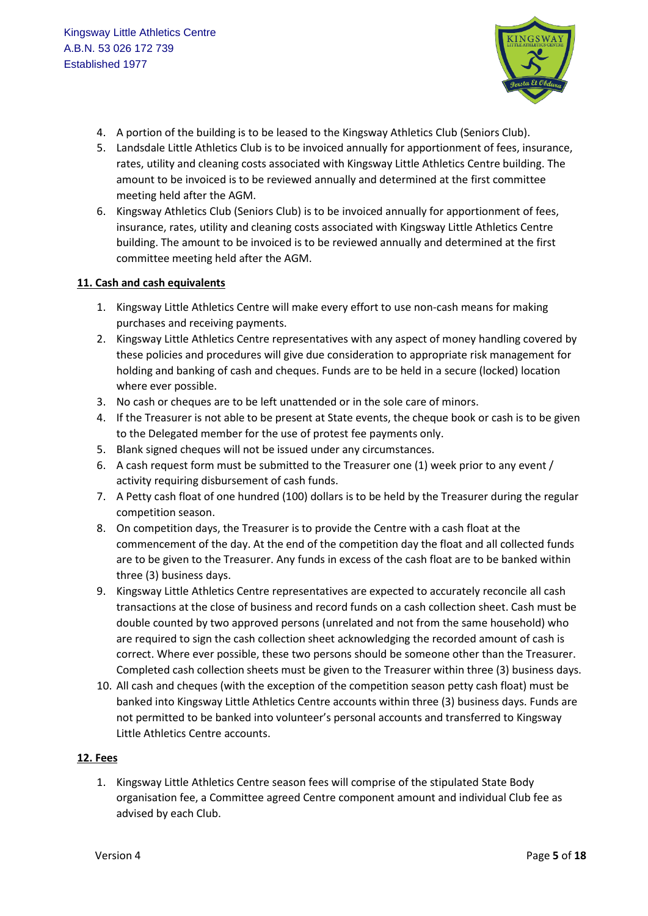

- 4. A portion of the building is to be leased to the Kingsway Athletics Club (Seniors Club).
- 5. Landsdale Little Athletics Club is to be invoiced annually for apportionment of fees, insurance, rates, utility and cleaning costs associated with Kingsway Little Athletics Centre building. The amount to be invoiced is to be reviewed annually and determined at the first committee meeting held after the AGM.
- 6. Kingsway Athletics Club (Seniors Club) is to be invoiced annually for apportionment of fees, insurance, rates, utility and cleaning costs associated with Kingsway Little Athletics Centre building. The amount to be invoiced is to be reviewed annually and determined at the first committee meeting held after the AGM.

#### **11. Cash and cash equivalents**

- 1. Kingsway Little Athletics Centre will make every effort to use non-cash means for making purchases and receiving payments.
- 2. Kingsway Little Athletics Centre representatives with any aspect of money handling covered by these policies and procedures will give due consideration to appropriate risk management for holding and banking of cash and cheques. Funds are to be held in a secure (locked) location where ever possible.
- 3. No cash or cheques are to be left unattended or in the sole care of minors.
- 4. If the Treasurer is not able to be present at State events, the cheque book or cash is to be given to the Delegated member for the use of protest fee payments only.
- 5. Blank signed cheques will not be issued under any circumstances.
- 6. A cash request form must be submitted to the Treasurer one (1) week prior to any event / activity requiring disbursement of cash funds.
- 7. A Petty cash float of one hundred (100) dollars is to be held by the Treasurer during the regular competition season.
- 8. On competition days, the Treasurer is to provide the Centre with a cash float at the commencement of the day. At the end of the competition day the float and all collected funds are to be given to the Treasurer. Any funds in excess of the cash float are to be banked within three (3) business days.
- 9. Kingsway Little Athletics Centre representatives are expected to accurately reconcile all cash transactions at the close of business and record funds on a cash collection sheet. Cash must be double counted by two approved persons (unrelated and not from the same household) who are required to sign the cash collection sheet acknowledging the recorded amount of cash is correct. Where ever possible, these two persons should be someone other than the Treasurer. Completed cash collection sheets must be given to the Treasurer within three (3) business days.
- 10. All cash and cheques (with the exception of the competition season petty cash float) must be banked into Kingsway Little Athletics Centre accounts within three (3) business days. Funds are not permitted to be banked into volunteer's personal accounts and transferred to Kingsway Little Athletics Centre accounts.

#### **12. Fees**

1. Kingsway Little Athletics Centre season fees will comprise of the stipulated State Body organisation fee, a Committee agreed Centre component amount and individual Club fee as advised by each Club.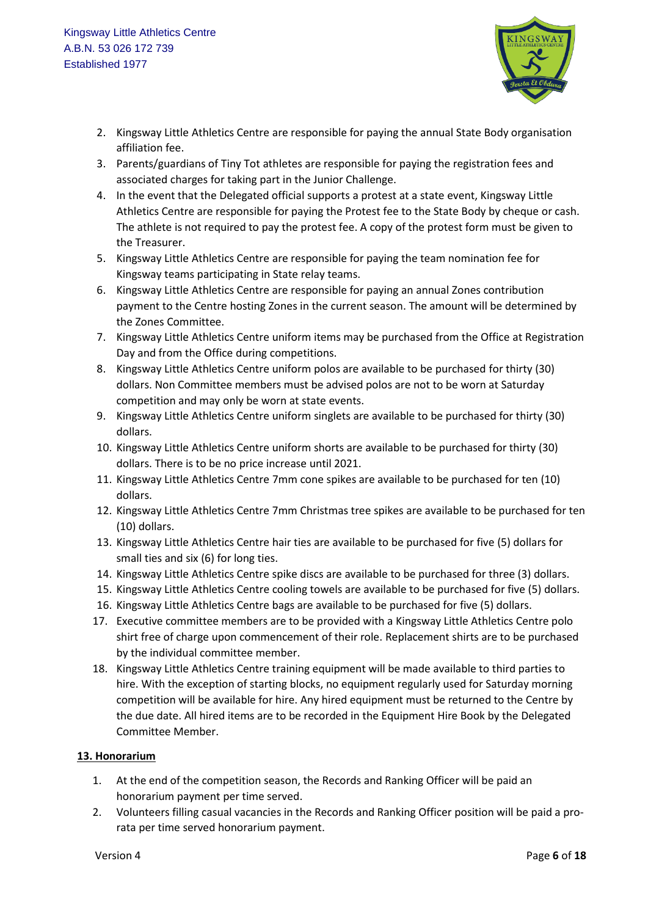

- 2. Kingsway Little Athletics Centre are responsible for paying the annual State Body organisation affiliation fee.
- 3. Parents/guardians of Tiny Tot athletes are responsible for paying the registration fees and associated charges for taking part in the Junior Challenge.
- 4. In the event that the Delegated official supports a protest at a state event, Kingsway Little Athletics Centre are responsible for paying the Protest fee to the State Body by cheque or cash. The athlete is not required to pay the protest fee. A copy of the protest form must be given to the Treasurer.
- 5. Kingsway Little Athletics Centre are responsible for paying the team nomination fee for Kingsway teams participating in State relay teams.
- 6. Kingsway Little Athletics Centre are responsible for paying an annual Zones contribution payment to the Centre hosting Zones in the current season. The amount will be determined by the Zones Committee.
- 7. Kingsway Little Athletics Centre uniform items may be purchased from the Office at Registration Day and from the Office during competitions.
- 8. Kingsway Little Athletics Centre uniform polos are available to be purchased for thirty (30) dollars. Non Committee members must be advised polos are not to be worn at Saturday competition and may only be worn at state events.
- 9. Kingsway Little Athletics Centre uniform singlets are available to be purchased for thirty (30) dollars.
- 10. Kingsway Little Athletics Centre uniform shorts are available to be purchased for thirty (30) dollars. There is to be no price increase until 2021.
- 11. Kingsway Little Athletics Centre 7mm cone spikes are available to be purchased for ten (10) dollars.
- 12. Kingsway Little Athletics Centre 7mm Christmas tree spikes are available to be purchased for ten (10) dollars.
- 13. Kingsway Little Athletics Centre hair ties are available to be purchased for five (5) dollars for small ties and six (6) for long ties.
- 14. Kingsway Little Athletics Centre spike discs are available to be purchased for three (3) dollars.
- 15. Kingsway Little Athletics Centre cooling towels are available to be purchased for five (5) dollars.
- 16. Kingsway Little Athletics Centre bags are available to be purchased for five (5) dollars.
- 17. Executive committee members are to be provided with a Kingsway Little Athletics Centre polo shirt free of charge upon commencement of their role. Replacement shirts are to be purchased by the individual committee member.
- 18. Kingsway Little Athletics Centre training equipment will be made available to third parties to hire. With the exception of starting blocks, no equipment regularly used for Saturday morning competition will be available for hire. Any hired equipment must be returned to the Centre by the due date. All hired items are to be recorded in the Equipment Hire Book by the Delegated Committee Member.

## **13. Honorarium**

- 1. At the end of the competition season, the Records and Ranking Officer will be paid an honorarium payment per time served.
- 2. Volunteers filling casual vacancies in the Records and Ranking Officer position will be paid a prorata per time served honorarium payment.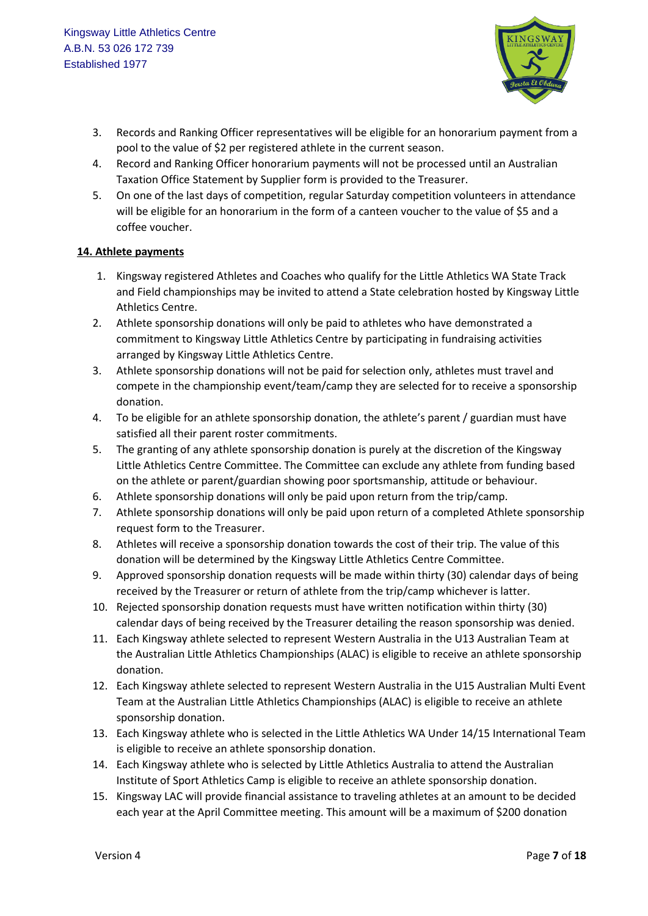

- 3. Records and Ranking Officer representatives will be eligible for an honorarium payment from a pool to the value of \$2 per registered athlete in the current season.
- 4. Record and Ranking Officer honorarium payments will not be processed until an Australian Taxation Office Statement by Supplier form is provided to the Treasurer.
- 5. On one of the last days of competition, regular Saturday competition volunteers in attendance will be eligible for an honorarium in the form of a canteen voucher to the value of \$5 and a coffee voucher.

#### **14. Athlete payments**

- 1. Kingsway registered Athletes and Coaches who qualify for the Little Athletics WA State Track and Field championships may be invited to attend a State celebration hosted by Kingsway Little Athletics Centre.
- 2. Athlete sponsorship donations will only be paid to athletes who have demonstrated a commitment to Kingsway Little Athletics Centre by participating in fundraising activities arranged by Kingsway Little Athletics Centre.
- 3. Athlete sponsorship donations will not be paid for selection only, athletes must travel and compete in the championship event/team/camp they are selected for to receive a sponsorship donation.
- 4. To be eligible for an athlete sponsorship donation, the athlete's parent / guardian must have satisfied all their parent roster commitments.
- 5. The granting of any athlete sponsorship donation is purely at the discretion of the Kingsway Little Athletics Centre Committee. The Committee can exclude any athlete from funding based on the athlete or parent/guardian showing poor sportsmanship, attitude or behaviour.
- 6. Athlete sponsorship donations will only be paid upon return from the trip/camp.
- 7. Athlete sponsorship donations will only be paid upon return of a completed Athlete sponsorship request form to the Treasurer.
- 8. Athletes will receive a sponsorship donation towards the cost of their trip. The value of this donation will be determined by the Kingsway Little Athletics Centre Committee.
- 9. Approved sponsorship donation requests will be made within thirty (30) calendar days of being received by the Treasurer or return of athlete from the trip/camp whichever is latter.
- 10. Rejected sponsorship donation requests must have written notification within thirty (30) calendar days of being received by the Treasurer detailing the reason sponsorship was denied.
- 11. Each Kingsway athlete selected to represent Western Australia in the U13 Australian Team at the Australian Little Athletics Championships (ALAC) is eligible to receive an athlete sponsorship donation.
- 12. Each Kingsway athlete selected to represent Western Australia in the U15 Australian Multi Event Team at the Australian Little Athletics Championships (ALAC) is eligible to receive an athlete sponsorship donation.
- 13. Each Kingsway athlete who is selected in the Little Athletics WA Under 14/15 International Team is eligible to receive an athlete sponsorship donation.
- 14. Each Kingsway athlete who is selected by Little Athletics Australia to attend the Australian Institute of Sport Athletics Camp is eligible to receive an athlete sponsorship donation.
- 15. Kingsway LAC will provide financial assistance to traveling athletes at an amount to be decided each year at the April Committee meeting. This amount will be a maximum of \$200 donation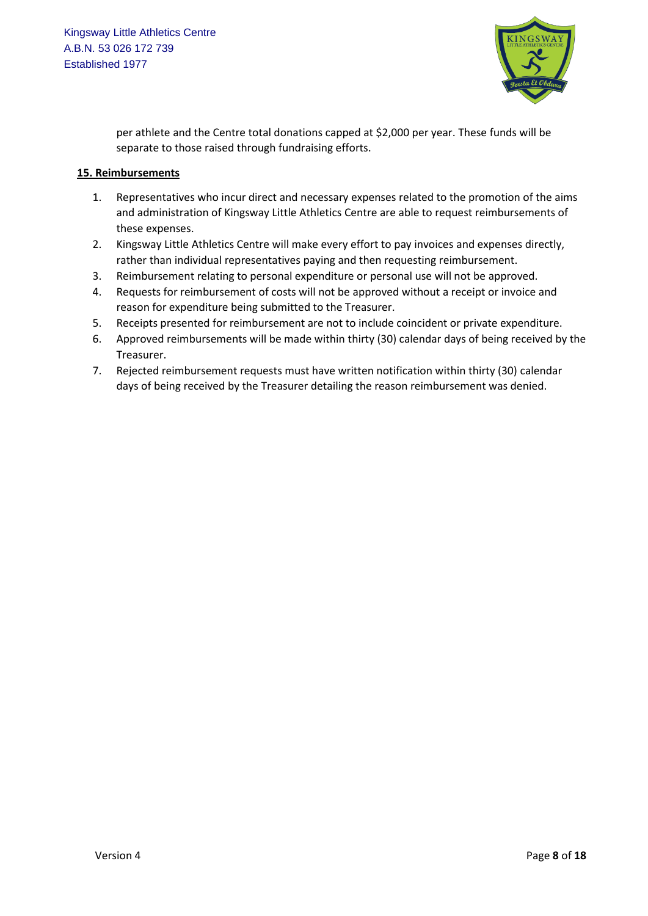

per athlete and the Centre total donations capped at \$2,000 per year. These funds will be separate to those raised through fundraising efforts.

#### **15. Reimbursements**

- 1. Representatives who incur direct and necessary expenses related to the promotion of the aims and administration of Kingsway Little Athletics Centre are able to request reimbursements of these expenses.
- 2. Kingsway Little Athletics Centre will make every effort to pay invoices and expenses directly, rather than individual representatives paying and then requesting reimbursement.
- 3. Reimbursement relating to personal expenditure or personal use will not be approved.
- 4. Requests for reimbursement of costs will not be approved without a receipt or invoice and reason for expenditure being submitted to the Treasurer.
- 5. Receipts presented for reimbursement are not to include coincident or private expenditure.
- 6. Approved reimbursements will be made within thirty (30) calendar days of being received by the Treasurer.
- 7. Rejected reimbursement requests must have written notification within thirty (30) calendar days of being received by the Treasurer detailing the reason reimbursement was denied.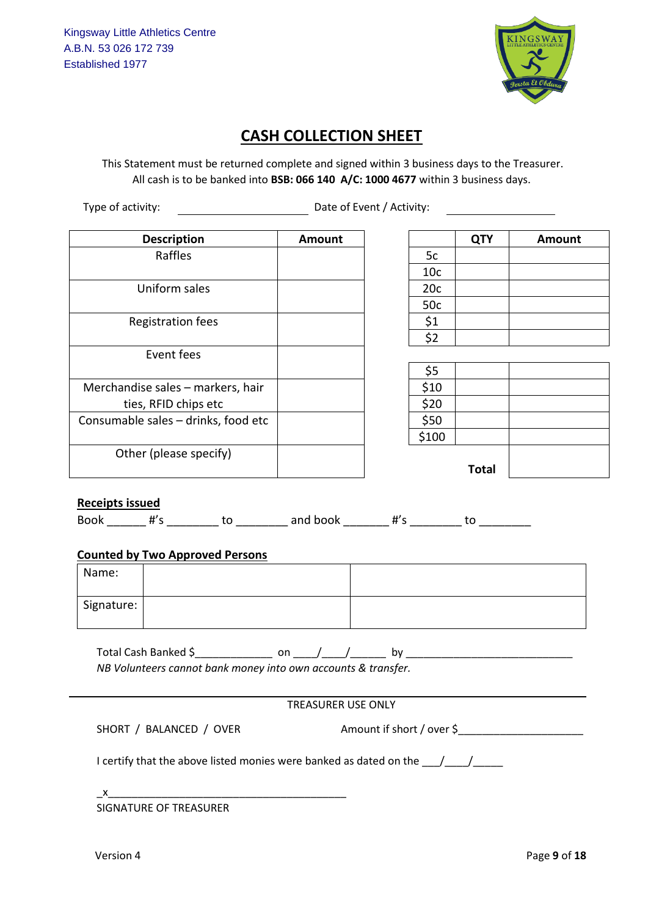

## **CASH COLLECTION SHEET**

This Statement must be returned complete and signed within 3 business days to the Treasurer. All cash is to be banked into **BSB: 066 140 A/C: 1000 4677** within 3 business days.

Type of activity: Type of activity:

| <b>Description</b>                  | Amount |                 | <b>QTY</b>   | Amount |
|-------------------------------------|--------|-----------------|--------------|--------|
| Raffles                             |        | 5c              |              |        |
|                                     |        | 10 <sub>c</sub> |              |        |
| Uniform sales                       |        | 20c             |              |        |
|                                     |        | 50c             |              |        |
| Registration fees                   |        | \$1             |              |        |
|                                     |        | \$2             |              |        |
| Event fees                          |        |                 |              |        |
|                                     |        | \$5             |              |        |
| Merchandise sales - markers, hair   |        | \$10            |              |        |
| ties, RFID chips etc                |        | \$20            |              |        |
| Consumable sales - drinks, food etc |        | \$50            |              |        |
|                                     |        | \$100           |              |        |
| Other (please specify)              |        |                 |              |        |
|                                     |        |                 | <b>Total</b> |        |

|                 | <b>QTY</b> | Amount |
|-----------------|------------|--------|
| 5c              |            |        |
| 10 <sub>c</sub> |            |        |
| 20c             |            |        |
| 50c             |            |        |
| \$1             |            |        |
| $\overline{52}$ |            |        |

| \$5                |              |  |
|--------------------|--------------|--|
| \$10               |              |  |
| \$20               |              |  |
| $\frac{$50}{$100}$ |              |  |
|                    |              |  |
|                    |              |  |
|                    | <b>Total</b> |  |

## **Receipts issued**

 $\overline{Book}$  #'s \_\_\_\_\_\_\_\_\_ to \_\_\_\_\_\_\_\_ and book \_\_\_\_\_\_\_ #'s \_\_\_\_\_\_\_\_ to \_\_\_\_\_\_\_\_\_\_

## **Counted by Two Approved Persons**

| Name:      |  |
|------------|--|
| Signature: |  |

Total Cash Banked \$\_\_\_\_\_\_\_\_\_\_\_\_\_ on \_\_\_\_/\_\_\_\_/\_\_\_\_\_\_ by \_\_\_\_\_\_\_\_\_\_\_\_\_\_\_\_\_\_\_\_\_\_\_\_\_\_\_\_ *NB Volunteers cannot bank money into own accounts & transfer.*

SHORT / BALANCED / OVER Amount if short / over \$\_\_\_\_\_\_\_\_\_\_\_\_\_\_\_\_\_\_\_\_\_\_\_\_\_\_\_\_\_\_\_\_

I certify that the above listed monies were banked as dated on the  $\frac{1}{\frac{1}{2} \cdot \frac{1}{2} \cdot \frac{1}{2} \cdot \frac{1}{2} \cdot \frac{1}{2} \cdot \frac{1}{2} \cdot \frac{1}{2} \cdot \frac{1}{2} \cdot \frac{1}{2} \cdot \frac{1}{2} \cdot \frac{1}{2} \cdot \frac{1}{2} \cdot \frac{1}{2} \cdot \frac{1}{2} \cdot \frac{1}{2} \cdot \frac{1}{2} \cdot \frac{1$ 

\_x\_\_\_\_\_\_\_\_\_\_\_\_\_\_\_\_\_\_\_\_\_\_\_\_\_\_\_\_\_\_\_\_\_\_\_\_\_\_\_\_

SIGNATURE OF TREASURER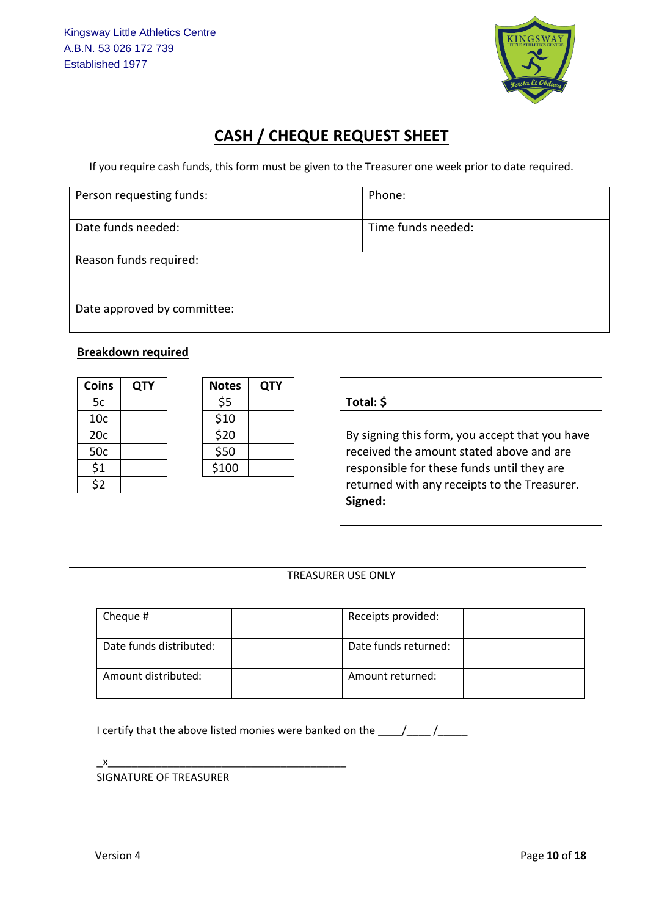

# **CASH / CHEQUE REQUEST SHEET**

If you require cash funds, this form must be given to the Treasurer one week prior to date required.

| Person requesting funds:    |  | Phone:             |  |  |  |
|-----------------------------|--|--------------------|--|--|--|
| Date funds needed:          |  | Time funds needed: |  |  |  |
| Reason funds required:      |  |                    |  |  |  |
| Date approved by committee: |  |                    |  |  |  |

## **Breakdown required**

| <b>Coins</b>            | <b>QTY</b> | <b>Notes</b> | <b>QTY</b> |
|-------------------------|------------|--------------|------------|
| 5c                      |            | \$5          |            |
| 10 <sub>c</sub>         |            | \$10         |            |
| 20c                     |            | \$20         |            |
| 50c                     |            | \$50         |            |
| \$1                     |            | \$100        |            |
| $\overline{\mathbf{c}}$ |            |              |            |

| Notes | QTY |
|-------|-----|
| \$5   |     |
| \$10  |     |
| \$20  |     |
| \$50  |     |
| \$100 |     |

## 5c \$5 **Total: \$**

By signing this form, you accept that you have received the amount stated above and are responsible for these funds until they are returned with any receipts to the Treasurer. **Signed:**

## TREASURER USE ONLY

| Cheque #                | Receipts provided:   |  |
|-------------------------|----------------------|--|
| Date funds distributed: | Date funds returned: |  |
| Amount distributed:     | Amount returned:     |  |

I certify that the above listed monies were banked on the \_\_\_\_/\_\_\_\_/\_\_\_\_\_\_

 $x$ 

SIGNATURE OF TREASURER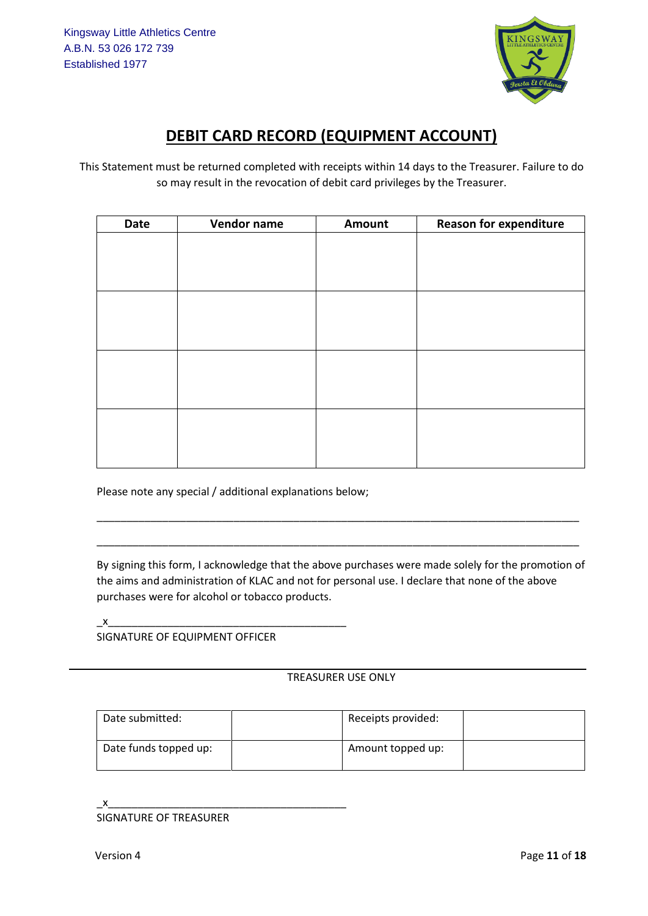

# **DEBIT CARD RECORD (EQUIPMENT ACCOUNT)**

This Statement must be returned completed with receipts within 14 days to the Treasurer. Failure to do so may result in the revocation of debit card privileges by the Treasurer.

| Date | Vendor name | Amount | <b>Reason for expenditure</b> |
|------|-------------|--------|-------------------------------|
|      |             |        |                               |
|      |             |        |                               |
|      |             |        |                               |
|      |             |        |                               |
|      |             |        |                               |
|      |             |        |                               |
|      |             |        |                               |
|      |             |        |                               |
|      |             |        |                               |
|      |             |        |                               |
|      |             |        |                               |
|      |             |        |                               |
|      |             |        |                               |
|      |             |        |                               |

Please note any special / additional explanations below;

By signing this form, I acknowledge that the above purchases were made solely for the promotion of the aims and administration of KLAC and not for personal use. I declare that none of the above purchases were for alcohol or tobacco products.

\_\_\_\_\_\_\_\_\_\_\_\_\_\_\_\_\_\_\_\_\_\_\_\_\_\_\_\_\_\_\_\_\_\_\_\_\_\_\_\_\_\_\_\_\_\_\_\_\_\_\_\_\_\_\_\_\_\_\_\_\_\_\_\_\_\_\_\_\_\_\_\_\_\_\_\_\_\_\_\_\_

\_\_\_\_\_\_\_\_\_\_\_\_\_\_\_\_\_\_\_\_\_\_\_\_\_\_\_\_\_\_\_\_\_\_\_\_\_\_\_\_\_\_\_\_\_\_\_\_\_\_\_\_\_\_\_\_\_\_\_\_\_\_\_\_\_\_\_\_\_\_\_\_\_\_\_\_\_\_\_\_\_

\_x\_\_\_\_\_\_\_\_\_\_\_\_\_\_\_\_\_\_\_\_\_\_\_\_\_\_\_\_\_\_\_\_\_\_\_\_\_\_\_\_

SIGNATURE OF EQUIPMENT OFFICER

## TREASURER USE ONLY

| Date submitted:       | Receipts provided: |  |
|-----------------------|--------------------|--|
| Date funds topped up: | Amount topped up:  |  |

SIGNATURE OF TREASURER

 $\mathsf{x}$   $\mathsf{x}$   $\mathsf{y}$   $\mathsf{y}$   $\mathsf{y}$   $\mathsf{y}$   $\mathsf{y}$   $\mathsf{y}$   $\mathsf{y}$   $\mathsf{y}$   $\mathsf{y}$   $\mathsf{y}$   $\mathsf{y}$   $\mathsf{y}$   $\mathsf{y}$   $\mathsf{y}$   $\mathsf{y}$   $\mathsf{y}$   $\mathsf{y}$   $\mathsf{y}$   $\mathsf{y}$   $\mathsf{y}$   $\mathsf{y}$   $\mathsf{y}$   $\mathsf{y}$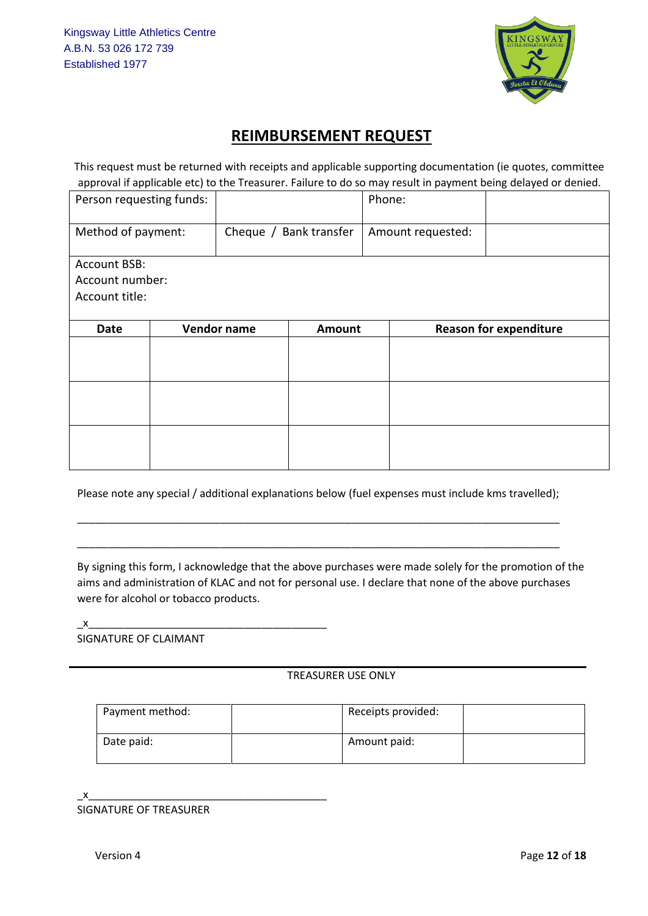

## **REIMBURSEMENT REQUEST**

This request must be returned with receipts and applicable supporting documentation (ie quotes, committee approval if applicable etc) to the Treasurer. Failure to do so may result in payment being delayed or denied.

| Person requesting funds: |                        |  | Phone:            |                               |  |
|--------------------------|------------------------|--|-------------------|-------------------------------|--|
| Method of payment:       | Cheque / Bank transfer |  | Amount requested: |                               |  |
| <b>Account BSB:</b>      |                        |  |                   |                               |  |
| Account number:          |                        |  |                   |                               |  |
| Account title:           |                        |  |                   |                               |  |
|                          |                        |  |                   |                               |  |
| <b>Date</b>              | Vendor name<br>Amount  |  |                   | <b>Reason for expenditure</b> |  |
|                          |                        |  |                   |                               |  |
|                          |                        |  |                   |                               |  |
|                          |                        |  |                   |                               |  |
|                          |                        |  |                   |                               |  |
|                          |                        |  |                   |                               |  |
|                          |                        |  |                   |                               |  |

Please note any special / additional explanations below (fuel expenses must include kms travelled);

\_\_\_\_\_\_\_\_\_\_\_\_\_\_\_\_\_\_\_\_\_\_\_\_\_\_\_\_\_\_\_\_\_\_\_\_\_\_\_\_\_\_\_\_\_\_\_\_\_\_\_\_\_\_\_\_\_\_\_\_\_\_\_\_\_\_\_\_\_\_\_\_\_\_\_\_\_\_\_\_\_

\_\_\_\_\_\_\_\_\_\_\_\_\_\_\_\_\_\_\_\_\_\_\_\_\_\_\_\_\_\_\_\_\_\_\_\_\_\_\_\_\_\_\_\_\_\_\_\_\_\_\_\_\_\_\_\_\_\_\_\_\_\_\_\_\_\_\_\_\_\_\_\_\_\_\_\_\_\_\_\_\_

By signing this form, I acknowledge that the above purchases were made solely for the promotion of the aims and administration of KLAC and not for personal use. I declare that none of the above purchases were for alcohol or tobacco products.

\_x\_\_\_\_\_\_\_\_\_\_\_\_\_\_\_\_\_\_\_\_\_\_\_\_\_\_\_\_\_\_\_\_\_\_\_\_\_\_\_\_

SIGNATURE OF CLAIMANT

## TREASURER USE ONLY

| Payment method: | Receipts provided: |  |
|-----------------|--------------------|--|
| Date paid:      | Amount paid:       |  |

\_x\_\_\_\_\_\_\_\_\_\_\_\_\_\_\_\_\_\_\_\_\_\_\_\_\_\_\_\_\_\_\_\_\_\_\_\_\_\_\_\_ SIGNATURE OF TREASURER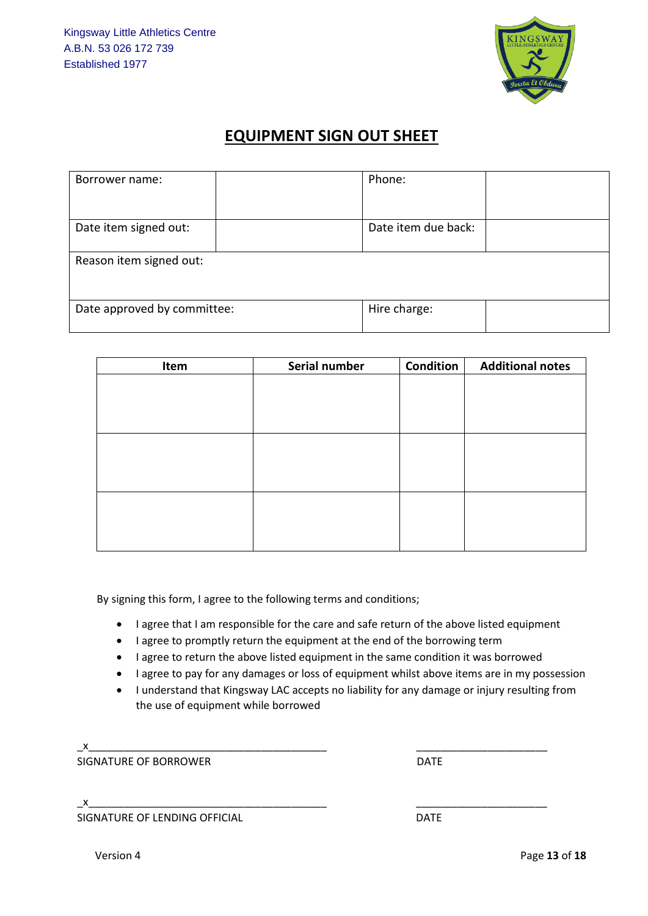

## **EQUIPMENT SIGN OUT SHEET**

| Borrower name:              | Phone:              |  |  |  |  |
|-----------------------------|---------------------|--|--|--|--|
| Date item signed out:       | Date item due back: |  |  |  |  |
| Reason item signed out:     |                     |  |  |  |  |
| Date approved by committee: | Hire charge:        |  |  |  |  |

| Serial number | Condition | <b>Additional notes</b> |
|---------------|-----------|-------------------------|
|               |           |                         |
|               |           |                         |
|               |           |                         |
|               |           |                         |
|               |           |                         |
|               |           |                         |
|               |           |                         |
|               |           |                         |
|               |           |                         |
|               |           |                         |
|               |           |                         |

By signing this form, I agree to the following terms and conditions;

- I agree that I am responsible for the care and safe return of the above listed equipment
- I agree to promptly return the equipment at the end of the borrowing term
- I agree to return the above listed equipment in the same condition it was borrowed
- I agree to pay for any damages or loss of equipment whilst above items are in my possession
- I understand that Kingsway LAC accepts no liability for any damage or injury resulting from the use of equipment while borrowed

\_x\_\_\_\_\_\_\_\_\_\_\_\_\_\_\_\_\_\_\_\_\_\_\_\_\_\_\_\_\_\_\_\_\_\_\_\_\_\_\_\_ \_\_\_\_\_\_\_\_\_\_\_\_\_\_\_\_\_\_\_\_\_\_ SIGNATURE OF BORROWER **DATE** 

\_x\_\_\_\_\_\_\_\_\_\_\_\_\_\_\_\_\_\_\_\_\_\_\_\_\_\_\_\_\_\_\_\_\_\_\_\_\_\_\_\_ \_\_\_\_\_\_\_\_\_\_\_\_\_\_\_\_\_\_\_\_\_\_ SIGNATURE OF LENDING OFFICIAL **Example 20 and SIGNATURE OF LENDING OFFICIAL**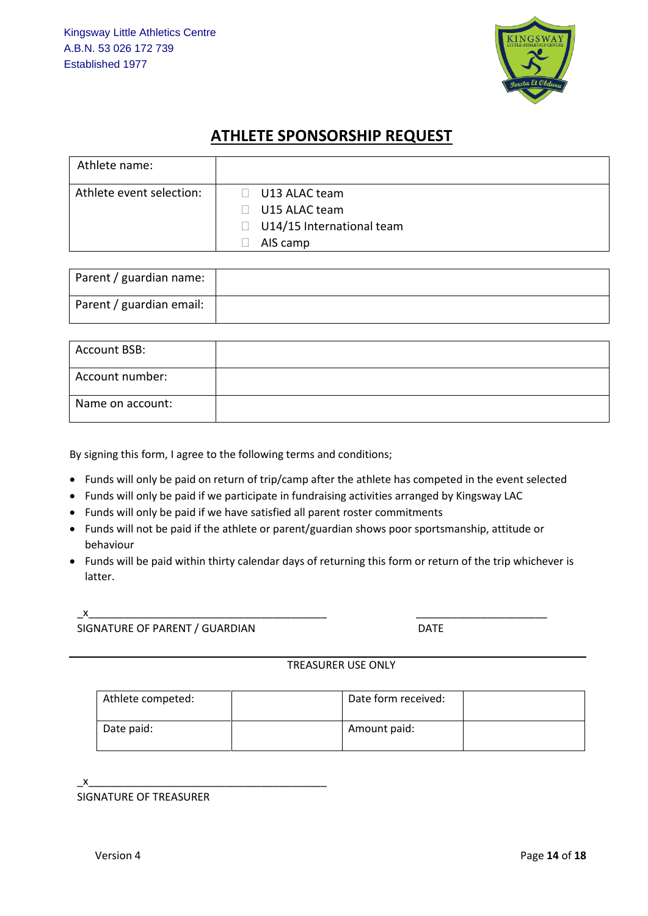

## **ATHLETE SPONSORSHIP REQUEST**

| Athlete name:            |                                                                                                             |
|--------------------------|-------------------------------------------------------------------------------------------------------------|
| Athlete event selection: | U13 ALAC team<br>$\Box$<br>U15 ALAC team<br>$\mathbf{L}$<br>U14/15 International team<br>$\Box$<br>AIS camp |

| Parent / guardian name:  |  |
|--------------------------|--|
| Parent / guardian email: |  |

| <b>Account BSB:</b> |  |
|---------------------|--|
| Account number:     |  |
| Name on account:    |  |

By signing this form, I agree to the following terms and conditions;

- Funds will only be paid on return of trip/camp after the athlete has competed in the event selected
- Funds will only be paid if we participate in fundraising activities arranged by Kingsway LAC
- Funds will only be paid if we have satisfied all parent roster commitments
- Funds will not be paid if the athlete or parent/guardian shows poor sportsmanship, attitude or behaviour
- Funds will be paid within thirty calendar days of returning this form or return of the trip whichever is latter.

\_x\_\_\_\_\_\_\_\_\_\_\_\_\_\_\_\_\_\_\_\_\_\_\_\_\_\_\_\_\_\_\_\_\_\_\_\_\_\_\_\_ \_\_\_\_\_\_\_\_\_\_\_\_\_\_\_\_\_\_\_\_\_\_

SIGNATURE OF PARENT / GUARDIAN DATE

## TREASURER USE ONLY

| Athlete competed: | Date form received: |  |
|-------------------|---------------------|--|
| Date paid:        | Amount paid:        |  |

\_x\_\_\_\_\_\_\_\_\_\_\_\_\_\_\_\_\_\_\_\_\_\_\_\_\_\_\_\_\_\_\_\_\_\_\_\_\_\_\_\_

SIGNATURE OF TREASURER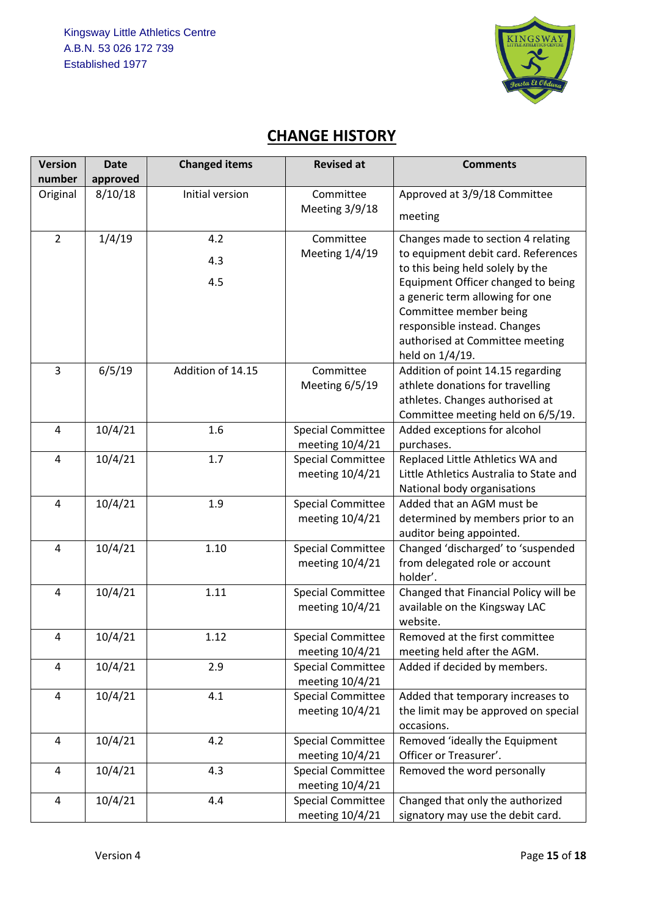

# **CHANGE HISTORY**

| <b>Version</b> | <b>Date</b> | <b>Changed items</b> | <b>Revised at</b>                           | <b>Comments</b>                                                                                                                                                                       |
|----------------|-------------|----------------------|---------------------------------------------|---------------------------------------------------------------------------------------------------------------------------------------------------------------------------------------|
| number         | approved    |                      |                                             |                                                                                                                                                                                       |
| Original       | 8/10/18     | Initial version      | Committee<br>Meeting 3/9/18                 | Approved at 3/9/18 Committee<br>meeting                                                                                                                                               |
| $\overline{2}$ | 1/4/19      | 4.2                  | Committee                                   | Changes made to section 4 relating                                                                                                                                                    |
|                |             | 4.3                  | Meeting 1/4/19                              | to equipment debit card. References<br>to this being held solely by the                                                                                                               |
|                |             | 4.5                  |                                             | Equipment Officer changed to being<br>a generic term allowing for one<br>Committee member being<br>responsible instead. Changes<br>authorised at Committee meeting<br>held on 1/4/19. |
| $\overline{3}$ | 6/5/19      | Addition of 14.15    | Committee<br>Meeting 6/5/19                 | Addition of point 14.15 regarding<br>athlete donations for travelling<br>athletes. Changes authorised at<br>Committee meeting held on 6/5/19.                                         |
| $\overline{4}$ | 10/4/21     | 1.6                  | <b>Special Committee</b><br>meeting 10/4/21 | Added exceptions for alcohol<br>purchases.                                                                                                                                            |
| $\overline{4}$ | 10/4/21     | 1.7                  | <b>Special Committee</b><br>meeting 10/4/21 | Replaced Little Athletics WA and<br>Little Athletics Australia to State and<br>National body organisations                                                                            |
| $\overline{4}$ | 10/4/21     | 1.9                  | <b>Special Committee</b><br>meeting 10/4/21 | Added that an AGM must be<br>determined by members prior to an<br>auditor being appointed.                                                                                            |
| 4              | 10/4/21     | 1.10                 | <b>Special Committee</b><br>meeting 10/4/21 | Changed 'discharged' to 'suspended<br>from delegated role or account<br>holder'.                                                                                                      |
| $\overline{4}$ | 10/4/21     | 1.11                 | <b>Special Committee</b><br>meeting 10/4/21 | Changed that Financial Policy will be<br>available on the Kingsway LAC<br>website.                                                                                                    |
| 4              | 10/4/21     | 1.12                 | <b>Special Committee</b><br>meeting 10/4/21 | Removed at the first committee<br>meeting held after the AGM.                                                                                                                         |
| 4              | 10/4/21     | 2.9                  | <b>Special Committee</b><br>meeting 10/4/21 | Added if decided by members.                                                                                                                                                          |
| 4              | 10/4/21     | 4.1                  | <b>Special Committee</b><br>meeting 10/4/21 | Added that temporary increases to<br>the limit may be approved on special<br>occasions.                                                                                               |
| $\overline{4}$ | 10/4/21     | 4.2                  | <b>Special Committee</b><br>meeting 10/4/21 | Removed 'ideally the Equipment<br>Officer or Treasurer'.                                                                                                                              |
| 4              | 10/4/21     | 4.3                  | <b>Special Committee</b><br>meeting 10/4/21 | Removed the word personally                                                                                                                                                           |
| 4              | 10/4/21     | 4.4                  | <b>Special Committee</b><br>meeting 10/4/21 | Changed that only the authorized<br>signatory may use the debit card.                                                                                                                 |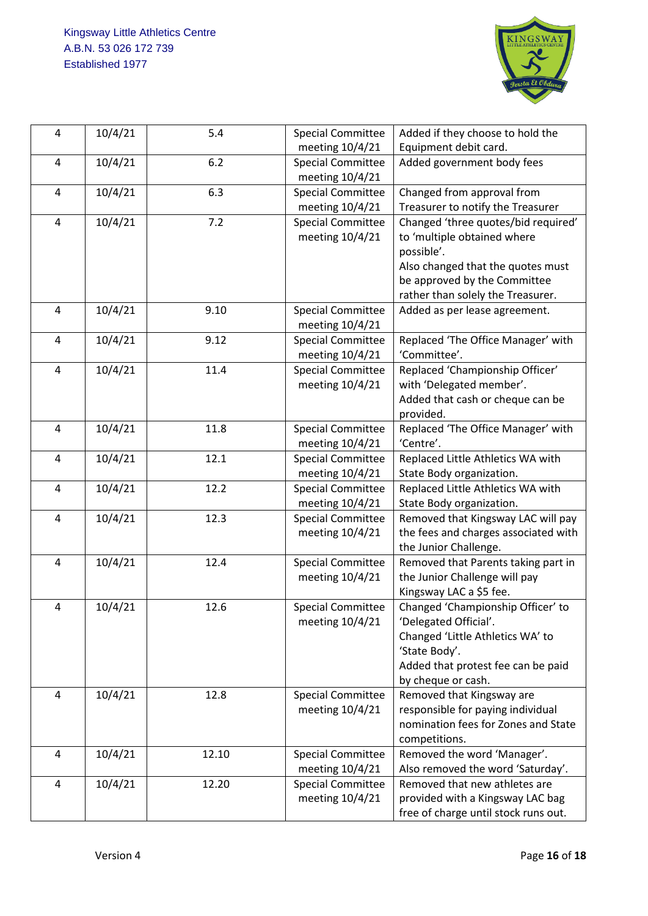

| $\overline{4}$ | 10/4/21 | 5.4   | <b>Special Committee</b> | Added if they choose to hold the                             |
|----------------|---------|-------|--------------------------|--------------------------------------------------------------|
|                |         |       | meeting 10/4/21          | Equipment debit card.                                        |
| $\overline{a}$ | 10/4/21 | 6.2   | <b>Special Committee</b> | Added government body fees                                   |
|                |         |       | meeting 10/4/21          |                                                              |
| $\overline{4}$ | 10/4/21 | 6.3   | <b>Special Committee</b> | Changed from approval from                                   |
|                |         |       | meeting 10/4/21          | Treasurer to notify the Treasurer                            |
| 4              | 10/4/21 | 7.2   | <b>Special Committee</b> | Changed 'three quotes/bid required'                          |
|                |         |       | meeting 10/4/21          | to 'multiple obtained where                                  |
|                |         |       |                          | possible'.                                                   |
|                |         |       |                          | Also changed that the quotes must                            |
|                |         |       |                          | be approved by the Committee                                 |
|                |         |       |                          | rather than solely the Treasurer.                            |
| $\overline{4}$ | 10/4/21 | 9.10  | <b>Special Committee</b> | Added as per lease agreement.                                |
|                |         |       | meeting 10/4/21          |                                                              |
| $\overline{4}$ | 10/4/21 | 9.12  | <b>Special Committee</b> | Replaced 'The Office Manager' with                           |
|                |         |       | meeting 10/4/21          | 'Committee'.                                                 |
| $\pmb{4}$      | 10/4/21 | 11.4  | <b>Special Committee</b> | Replaced 'Championship Officer'                              |
|                |         |       | meeting 10/4/21          | with 'Delegated member'.                                     |
|                |         |       |                          | Added that cash or cheque can be                             |
|                |         |       |                          | provided.                                                    |
| $\overline{a}$ | 10/4/21 | 11.8  | <b>Special Committee</b> | Replaced 'The Office Manager' with                           |
|                |         |       | meeting 10/4/21          | 'Centre'.                                                    |
| 4              | 10/4/21 | 12.1  | <b>Special Committee</b> | Replaced Little Athletics WA with                            |
|                |         |       | meeting 10/4/21          | State Body organization.                                     |
| $\overline{4}$ | 10/4/21 | 12.2  | <b>Special Committee</b> | Replaced Little Athletics WA with                            |
|                |         |       | meeting 10/4/21          | State Body organization.                                     |
| $\overline{4}$ | 10/4/21 | 12.3  | <b>Special Committee</b> | Removed that Kingsway LAC will pay                           |
|                |         |       | meeting 10/4/21          | the fees and charges associated with                         |
| $\overline{4}$ | 10/4/21 | 12.4  | <b>Special Committee</b> | the Junior Challenge.<br>Removed that Parents taking part in |
|                |         |       | meeting 10/4/21          | the Junior Challenge will pay                                |
|                |         |       |                          | Kingsway LAC a \$5 fee.                                      |
| 4              | 10/4/21 | 12.6  | <b>Special Committee</b> | Changed 'Championship Officer' to                            |
|                |         |       | meeting 10/4/21          | 'Delegated Official'.                                        |
|                |         |       |                          | Changed 'Little Athletics WA' to                             |
|                |         |       |                          | 'State Body'.                                                |
|                |         |       |                          | Added that protest fee can be paid                           |
|                |         |       |                          | by cheque or cash.                                           |
| 4              | 10/4/21 | 12.8  | <b>Special Committee</b> | Removed that Kingsway are                                    |
|                |         |       | meeting 10/4/21          | responsible for paying individual                            |
|                |         |       |                          | nomination fees for Zones and State                          |
|                |         |       |                          | competitions.                                                |
| 4              | 10/4/21 | 12.10 | <b>Special Committee</b> | Removed the word 'Manager'.                                  |
|                |         |       | meeting 10/4/21          | Also removed the word 'Saturday'.                            |
| $\overline{4}$ | 10/4/21 | 12.20 | <b>Special Committee</b> | Removed that new athletes are                                |
|                |         |       | meeting 10/4/21          | provided with a Kingsway LAC bag                             |
|                |         |       |                          | free of charge until stock runs out.                         |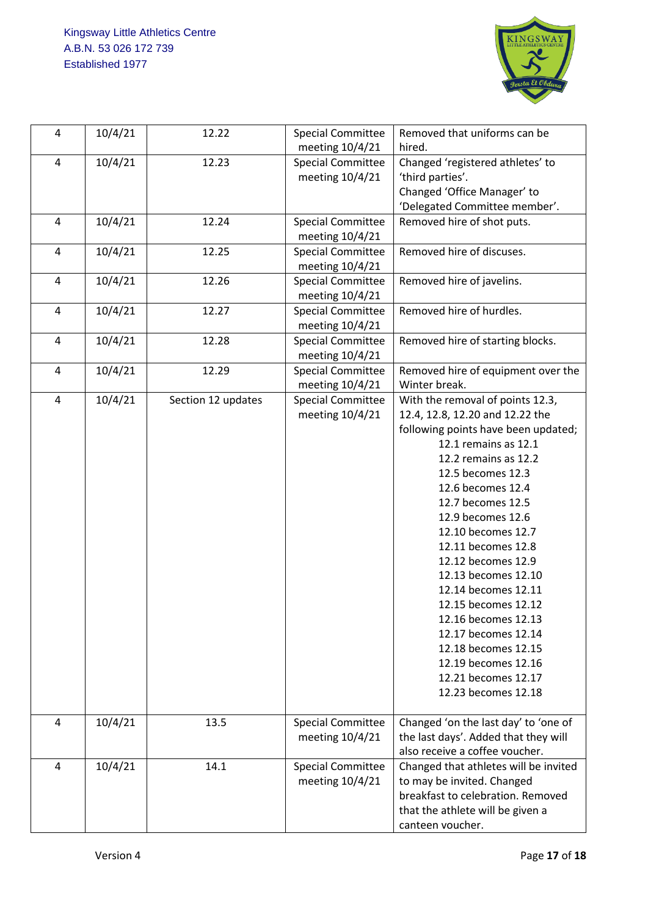

| 4              | 10/4/21 | 12.22              | <b>Special Committee</b><br>meeting 10/4/21 | Removed that uniforms can be<br>hired.                                                                                                                                                                                                                                                                                                                                                                                                                                                                                          |
|----------------|---------|--------------------|---------------------------------------------|---------------------------------------------------------------------------------------------------------------------------------------------------------------------------------------------------------------------------------------------------------------------------------------------------------------------------------------------------------------------------------------------------------------------------------------------------------------------------------------------------------------------------------|
| 4              | 10/4/21 | 12.23              | <b>Special Committee</b><br>meeting 10/4/21 | Changed 'registered athletes' to<br>'third parties'.<br>Changed 'Office Manager' to<br>'Delegated Committee member'.                                                                                                                                                                                                                                                                                                                                                                                                            |
| $\overline{4}$ | 10/4/21 | 12.24              | <b>Special Committee</b><br>meeting 10/4/21 | Removed hire of shot puts.                                                                                                                                                                                                                                                                                                                                                                                                                                                                                                      |
| $\overline{4}$ | 10/4/21 | 12.25              | <b>Special Committee</b><br>meeting 10/4/21 | Removed hire of discuses.                                                                                                                                                                                                                                                                                                                                                                                                                                                                                                       |
| $\overline{4}$ | 10/4/21 | 12.26              | <b>Special Committee</b><br>meeting 10/4/21 | Removed hire of javelins.                                                                                                                                                                                                                                                                                                                                                                                                                                                                                                       |
| 4              | 10/4/21 | 12.27              | <b>Special Committee</b><br>meeting 10/4/21 | Removed hire of hurdles.                                                                                                                                                                                                                                                                                                                                                                                                                                                                                                        |
| 4              | 10/4/21 | 12.28              | <b>Special Committee</b><br>meeting 10/4/21 | Removed hire of starting blocks.                                                                                                                                                                                                                                                                                                                                                                                                                                                                                                |
| 4              | 10/4/21 | 12.29              | <b>Special Committee</b><br>meeting 10/4/21 | Removed hire of equipment over the<br>Winter break.                                                                                                                                                                                                                                                                                                                                                                                                                                                                             |
| $\overline{4}$ | 10/4/21 | Section 12 updates | <b>Special Committee</b><br>meeting 10/4/21 | With the removal of points 12.3,<br>12.4, 12.8, 12.20 and 12.22 the<br>following points have been updated;<br>12.1 remains as 12.1<br>12.2 remains as 12.2<br>12.5 becomes 12.3<br>12.6 becomes 12.4<br>12.7 becomes 12.5<br>12.9 becomes 12.6<br>12.10 becomes 12.7<br>12.11 becomes 12.8<br>12.12 becomes 12.9<br>12.13 becomes 12.10<br>12.14 becomes 12.11<br>12.15 becomes 12.12<br>12.16 becomes 12.13<br>12.17 becomes 12.14<br>12.18 becomes 12.15<br>12.19 becomes 12.16<br>12.21 becomes 12.17<br>12.23 becomes 12.18 |
| 4              | 10/4/21 | 13.5               | <b>Special Committee</b><br>meeting 10/4/21 | Changed 'on the last day' to 'one of<br>the last days'. Added that they will<br>also receive a coffee voucher.                                                                                                                                                                                                                                                                                                                                                                                                                  |
| 4              | 10/4/21 | 14.1               | <b>Special Committee</b><br>meeting 10/4/21 | Changed that athletes will be invited<br>to may be invited. Changed<br>breakfast to celebration. Removed<br>that the athlete will be given a<br>canteen voucher.                                                                                                                                                                                                                                                                                                                                                                |